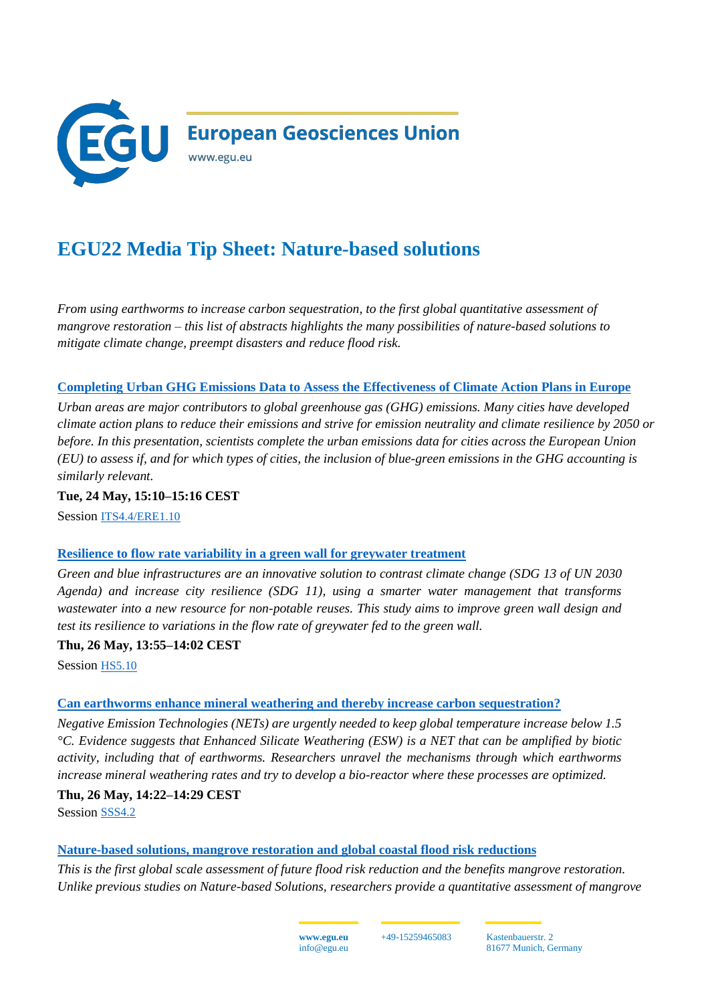

# **EGU22 Media Tip Sheet: Nature-based solutions**

*From using earthworms to increase carbon sequestration, to the first global quantitative assessment of mangrove restoration – this list of abstracts highlights the many possibilities of nature-based solutions to mitigate climate change, preempt disasters and reduce flood risk.* 

## **[Completing Urban GHG Emissions Data to Assess the Effectiveness of Climate Action Plans in Europe](https://meetingorganizer.copernicus.org/EGU22/EGU22-5175.html)**

*Urban areas are major contributors to global greenhouse gas (GHG) emissions. Many cities have developed climate action plans to reduce their emissions and strive for emission neutrality and climate resilience by 2050 or before. In this presentation, scientists complete the urban emissions data for cities across the European Union (EU) to assess if, and for which types of cities, the inclusion of blue-green emissions in the GHG accounting is similarly relevant.* 

**Tue, 24 May, 15:10–15:16 CEST**

Session [ITS4.4/ERE1.10](https://meetingorganizer.copernicus.org/EGU22/session/43591)

#### **[Resilience to flow rate variability in a green wall for greywater treatment](https://meetingorganizer.copernicus.org/EGU22/EGU22-6104.html)**

*Green and blue infrastructures are an innovative solution to contrast climate change (SDG 13 of UN 2030 Agenda) and increase city resilience (SDG 11), using a smarter water management that transforms wastewater into a new resource for non-potable reuses. This study aims to improve green wall design and test its resilience to variations in the flow rate of greywater fed to the green wall.*

**Thu, 26 May, 13:55–14:02 CEST**

Session [HS5.10](https://meetingorganizer.copernicus.org/EGU22/session/43305)

#### **[Can earthworms enhance mineral weathering and thereby increase carbon sequestration?](https://meetingorganizer.copernicus.org/EGU22/EGU22-5706.html)**

*Negative Emission Technologies (NETs) are urgently needed to keep global temperature increase below 1.5 °C. Evidence suggests that Enhanced Silicate Weathering (ESW) is a NET that can be amplified by biotic activity, including that of earthworms. Researchers unravel the mechanisms through which earthworms increase mineral weathering rates and try to develop a bio-reactor where these processes are optimized.* 

#### **Thu, 26 May, 14:22–14:29 CEST**

Session [SSS4.2](https://meetingorganizer.copernicus.org/EGU22/session/42154)

#### **[Nature-based solutions, mangrove restoration and global coastal flood risk reductions](https://meetingorganizer.copernicus.org/EGU22/EGU22-369.html)**

*This is the first global scale assessment of future flood risk reduction and the benefits mangrove restoration. Unlike previous studies on Nature-based Solutions, researchers provide a quantitative assessment of mangrove* 

> **www.egu.eu** info@egu.eu

+49-15259465083 Kastenbauerstr. 2 81677 Munich, Germany